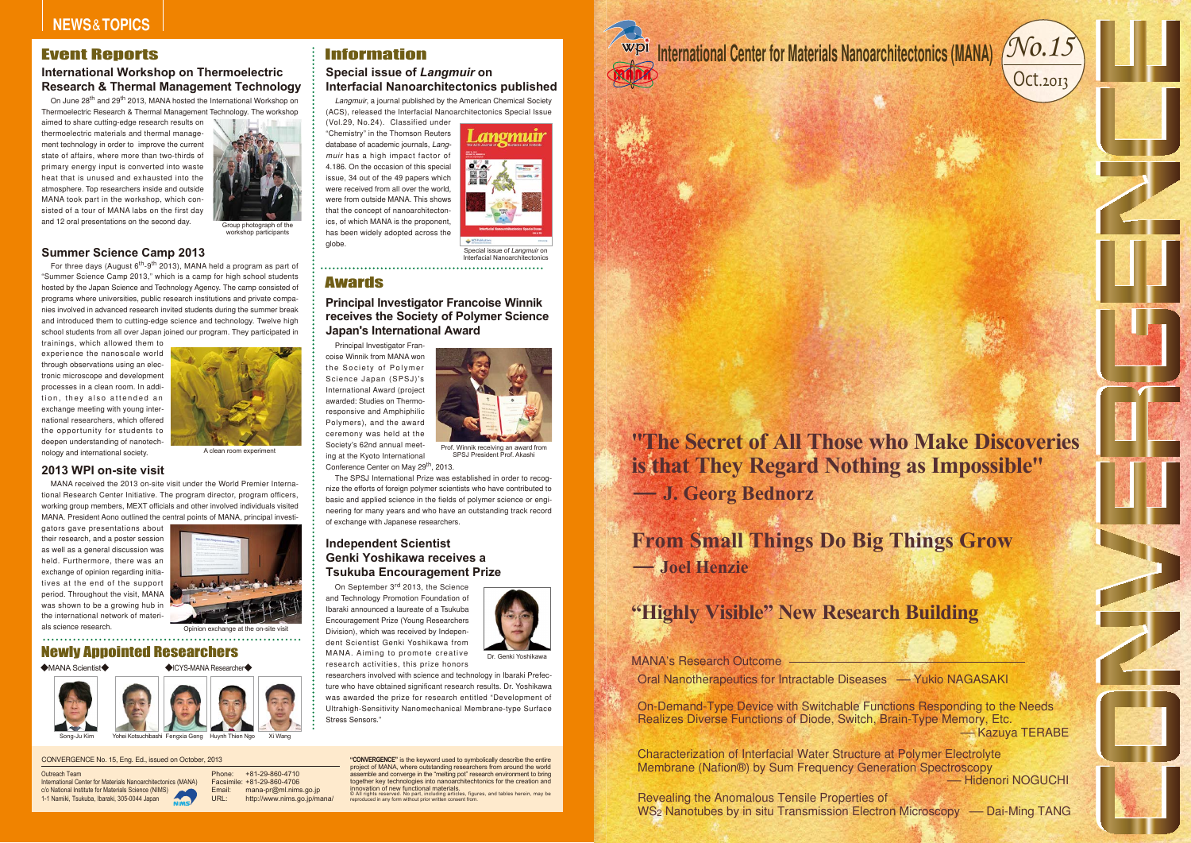Group photograph of the workshop participants

# Newly Appointed Researchers

#### ◆MANA Scientist◆





A clean room experiment

## **Summer Science Camp 2013**

For three days (August  $6^{th}$ -9<sup>th</sup> 2013), MANA held a program as part of "Summer Science Camp 2013," which is a camp for high school students hosted by the Japan Science and Technology Agency. The camp consisted of programs where universities, public research institutions and private companies involved in advanced research invited students during the summer break and introduced them to cutting-edge science and technology. Twelve high school students from all over Japan joined our program. They participated in

trainings, which allowed them to experience the nanoscale world through observations using an electronic microscope and development processes in a clean room. In addition, they also attended an exchange meeting with young international researchers, which offered the opportunity for students to deepen understanding of nanotechnology and international society.



Special issue of *Langmuir* on Interfacial Nanoarchi 

Opinion exchange at the on-site visit

## **2013 WPI on-site visit**

MANA received the 2013 on-site visit under the World Premier International Research Center Initiative. The program director, program officers, working group members, MEXT officials and other involved individuals visited MANA. President Aono outlined the central points of MANA, principal investi-

Principal Investigator Francoise Winnik from MANA won the Society of Polymer Science Japan (SPSJ)'s International Award (project awarded: Studies on Thermoresponsive and Amphiphilic Polymers), and the award ceremony was held at the Society's 62nd annual meeting at the Kyoto International Conference Center on May 29<sup>th</sup>, 2013.

gators gave presentations about their research, and a poster session as well as a general discussion was held. Furthermore, there was an exchange of opinion regarding initiatives at the end of the support period. Throughout the visit, MANA was shown to be a growing hub in the international network of materials science research.



◆ICYS-MANA Researcher◆

# Information

## **Special issue of** *Langmuir* **on Interfacial Nanoarchitectonics published**

*Langmuir*, a journal published by the American Chemical Society (ACS), released the Interfacial Nanoarchitectonics Special Issue

> **"CONVERGENCE"** is the keyword used to symbolically describe the entire project of MANA, where outstanding researchers from around the world assemble and converge in the "melting pot" research environment to bring together key technologies into nanoarchitechtonics for the creation and innovation of new functional materials.<br>© All rights reserved. No part, including articles, figures, and tables herein, may be<br>reproduced in any form without prior written consent from.



(Vol.29, No.24). Classified under "Chemistry" in the Thomson Reuters database of academic journals, *Langmuir* has a high impact factor of 4.186. On the occasion of this special issue, 34 out of the 49 papers which were received from all over the world, were from outside MANA. This shows that the concept of nanoarchitectonics, of which MANA is the proponent, has been widely adopted across the globe.

# Awards



SPSJ President Prof. Akashi

On June 28<sup>th</sup> and 29<sup>th</sup> 2013, MANA hosted the International Workshop on Thermoelectric Research & Thermal Management Technology. The workshop

## **Principal Investigator Francoise Winnik receives the Society of Polymer Science Japan's International Award**

Revealing the Anomalous Tensile Properties of WS<sub>2</sub> Nanotubes by in situ Transmission Electron Microscopy - Dai-Ming TANG





# -Yukio NAGASAKI

Characterization of Interfacial Water Structure at Polymer Electrolyte Membrane (Nafion®) by Sum Frequency Generation Spectroscopy -Hidenori NOGUCHI

On-Demand-Type Device with Switchable Functions Responding to the Needs Realizes Diverse Functions of Diode, Switch, Brain-Type Memory, Etc. -Kazuya TERABE

The SPSJ International Prize was established in order to recognize the efforts of foreign polymer scientists who have contributed to basic and applied science in the fields of polymer science or engineering for many years and who have an outstanding track record of exchange with Japanese researchers.

# Convergences<br>
Convergences of All Those who Make Discoveries<br>
The Secret of All Those who Make Discoveries<br>
Is that They Regard Nothing as Impossible<br>
- J. Georg Bednorz<br>
Prom Small Things Do Big Things Grow<br>
- Jose Mark C **- J. Georg Bednorz "The Secret of All Those who Make Discoveriesis that They Regard Nothing as Impossible"**



## **Independent Scientist Genki Yoshikawa receives aTsukuba Encouragement Prize**

On September 3<sup>rd</sup> 2013, the Science and Technology Promotion Foundation of Ibaraki announced a laureate of a Tsukuba Encouragement Prize (Young Researchers Division), which was received by Independent Scientist Genki Yoshikawa from MANA. Aiming to promote creative research activities, this prize honors

researchers involved with science and technology in Ibaraki Prefecture who have obtained significant research results. Dr. Yoshikawa was awarded the prize for research entitled "Development of Ultrahigh-Sensitivity Nanomechanical Membrane-type Surface Stress Sensors."

# CONVERGENCE No. 15, Eng. Ed., issued on October, 2013

## Outreach Team

 International Center for Materials Nanoarchitectonics (MANA) c/o National Institute for Materials Science (NIMS) 1-1 Namiki, Tsukuba, Ibaraki, 305-0044 Japan

Phone: Facsimile: +81-29-860-4706 mana-pr@ml.nims.go.jp Email:URL: +81-29-860-4710http://www.nims.go.jp/mana/

Song-Ju Kim Yohei Kotsuchibashi Fengxia Geng Huynh Thien Ngo Xi Wang

# **International Workshop on Thermoelectric Research & Thermal Management Technology**

aimed to share cutting-edge research results on thermoelectric materials and thermal management technology in order to improve the current state of affairs, where more than two-thirds of primary energy input is converted into waste heat that is unused and exhausted into the atmosphere. Top researchers inside and outside MANA took part in the workshop, which consisted of a tour of MANA labs on the first day and 12 oral presentations on the second day.



# Event Reports

**- Joel HenzieFrom Small Things Do Big Things Grow**

# **"Highly Visible" New Research Building**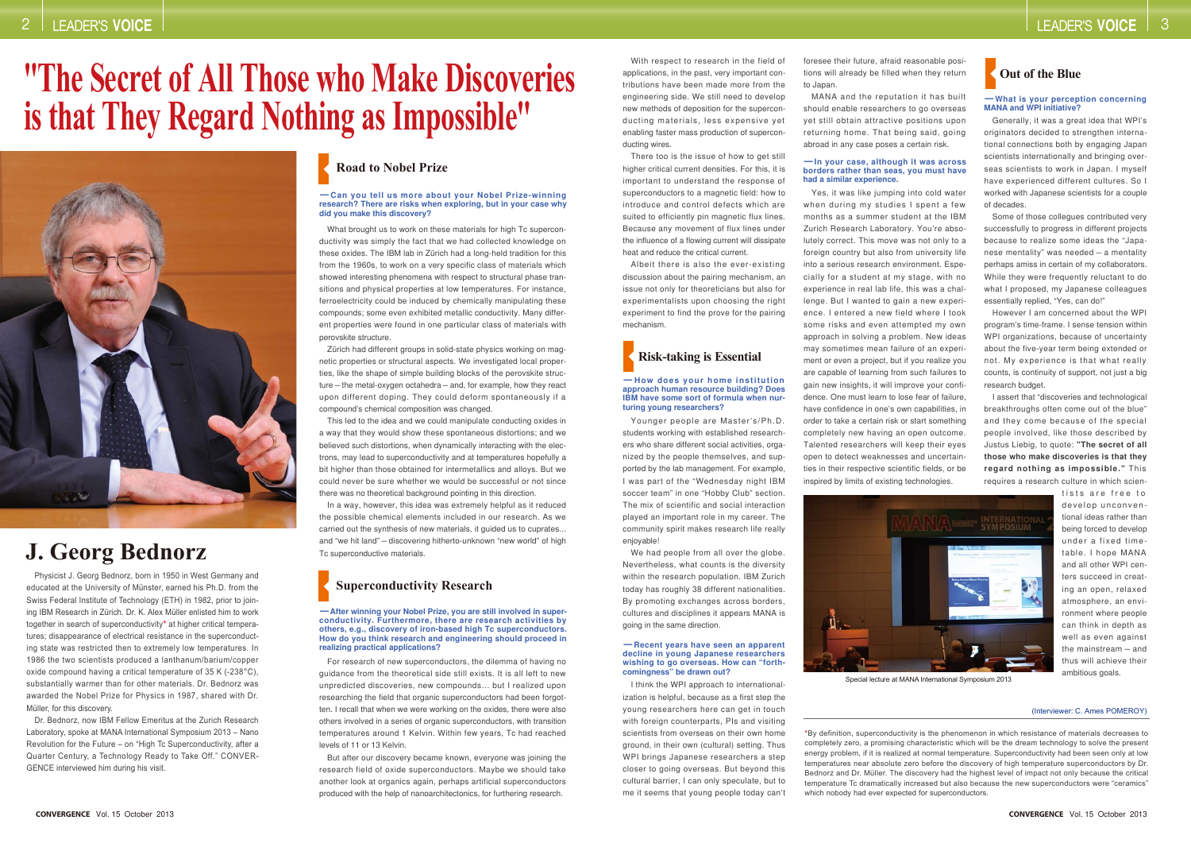Physicist J. Georg Bednorz, born in 1950 in West Germany and educated at the University of Münster, earned his Ph.D. from the Swiss Federal Institute of Technology (ETH) in 1982, prior to joining IBM Research in Zürich. Dr. K. Alex Müller enlisted him to work together in search of superconductivity\* at higher critical temperatures; disappearance of electrical resistance in the superconducting state was restricted then to extremely low temperatures. In 1986 the two scientists produced a lanthanum/barium/copper oxide compound having a critical temperature of 35 K (-238°C), substantially warmer than for other materials. Dr. Bednorz was awarded the Nobel Prize for Physics in 1987, shared with Dr. Müller, for this discovery.

> \*By definition, superconductivity is the phenomenon in which resistance of materials decreases to completely zero, a promising characteristic which will be the dream technology to solve the present energy problem, if it is realized at normal temperature. Superconductivity had been seen only at low temperatures near absolute zero before the discovery of high temperature superconductors by Dr. Bednorz and Dr. Müller. The discovery had the highest level of impact not only because the critical temperature Tc dramatically increased but also because the new superconductors were "ceramics" which nobody had ever expected for superconductors.

Dr. Bednorz, now IBM Fellow Emeritus at the Zurich Research Laboratory, spoke at MANA International Symposium 2013 – Nano Revolution for the Future – on "High Tc Superconductivity, after a Quarter Century, a Technology Ready to Take Off." CONVER-GENCE interviewed him during his visit.

# **"The Secret of All Those who Make Discoveries is that They Regard Nothing as Impossible"**



We had people from all over the globe. Nevertheless, what counts is the diversity within the research population. IBM Zurich today has roughly 38 different nationalities. By promoting exchanges across borders, cultures and disciplines it appears MANA is going in the same direction.

# **J. Georg Bednorz**

#### (Interviewer: C. Ames POMEROY)

With respect to research in the field of applications, in the past, very important contributions have been made more from the engineering side. We still need to develop new methods of deposition for the superconducting materials, less expensive yet enabling faster mass production of superconducting wires.

There too is the issue of how to get still higher critical current densities. For this, it is important to understand the response of superconductors to a magnetic field: how to introduce and control defects which are suited to efficiently pin magnetic flux lines. Because any movement of flux lines under the influence of a flowing current will dissipate heat and reduce the critical current.

Albeit there is also the ever-existing discussion about the pairing mechanism, an issue not only for theoreticians but also for experimentalists upon choosing the right experiment to find the prove for the pairing mechanism.

Some of those collegues contributed very successfully to progress in different projects because to realize some ideas the "Japanese mentality" was needed – a mentality perhaps amiss in certain of my collaborators. While they were frequently reluctant to do what I proposed, my Japanese colleagues essentially replied, "Yes, can do!"

Younger people are Master's/Ph.D. students working with established researchers who share different social activities, organized by the people themselves, and supported by the lab management. For example, I was part of the "Wednesday night IBM soccer team" in one "Hobby Club" section. The mix of scientific and social interaction played an important role in my career. The community spirit makes research life really enjoyable!

I think the WPI approach to internationalization is helpful, because as a first step the young researchers here can get in touch with foreign counterparts, PIs and visiting scientists from overseas on their own home ground, in their own (cultural) setting. Thus WPI brings Japanese researchers a step closer to going overseas. But beyond this cultural barrier, I can only speculate, but to me it seems that young people today can't

What brought us to work on these materials for high Tc superconductivity was simply the fact that we had collected knowledge on these oxides. The IBM lab in Zürich had a long-held tradition for this from the 1960s, to work on a very specific class of materials which showed interesting phenomena with respect to structural phase transitions and physical properties at low temperatures. For instance, ferroelectricity could be induced by chemically manipulating these compounds; some even exhibited metallic conductivity. Many different properties were found in one particular class of materials with perovskite structure.

foresee their future, afraid reasonable positions will already be filled when they return to Japan.

MANA and the reputation it has built should enable researchers to go overseas yet still obtain attractive positions upon returning home. That being said, going abroad in any case poses a certain risk.

Yes, it was like jumping into cold water when during my studies I spent a few months as a summer student at the IBM Zurich Research Laboratory. You're absolutely correct. This move was not only to a foreign country but also from university life into a serious research environment. Especially for a student at my stage, with no experience in real lab life, this was a challenge. But I wanted to gain a new experience. I entered a new field where I took some risks and even attempted my own approach in solving a problem. New ideas may sometimes mean failure of an experiment or even a project, but if you realize you are capable of learning from such failures to gain new insights, it will improve your confidence. One must learn to lose fear of failure, have confidence in one's own capabilities, in order to take a certain risk or start something completely new having an open outcome. Talented researchers will keep their eyes open to detect weaknesses and uncertainties in their respective scientific fields, or be inspired by limits of existing technologies.



Generally, it was a great idea that WPI's originators decided to strengthen international connections both by engaging Japan scientists internationally and bringing overseas scientists to work in Japan. I myself have experienced different cultures. So I worked with Japanese scientists for a couple of decades.

However I am concerned about the WPI program's time-frame. I sense tension within WPI organizations, because of uncertainty about the five-year term being extended or not. My experience is that what really counts, is continuity of support, not just a big research budget.

I assert that "discoveries and technological breakthroughs often come out of the blue" and they come because of the special people involved, like those described by Justus Liebig, to quote: **"The secret of all those who make discoveries is that they regard nothing as impossible."** This requires a research culture in which scien-

tists are free to develop unconventional ideas rather than being forced to develop under a fixed timetable. I hope MANA and all other WPI centers succeed in creating an open, relaxed atmosphere, an environment where people can think in depth as well as even against the mainstream – and thus will achieve their ambitious goals.

Zürich had different groups in solid-state physics working on magnetic properties or structural aspects. We investigated local properties, like the shape of simple building blocks of the perovskite structure – the metal-oxygen octahedra – and, for example, how they react upon different doping. They could deform spontaneously if a compound's chemical composition was changed.

This led to the idea and we could manipulate conducting oxides in a way that they would show these spontaneous distortions; and we believed such distortions, when dynamically interacting with the electrons, may lead to superconductivity and at temperatures hopefully a bit higher than those obtained for intermetallics and alloys. But we could never be sure whether we would be successful or not since there was no theoretical background pointing in this direction.

In a way, however, this idea was extremely helpful as it reduced the possible chemical elements included in our research. As we carried out the synthesis of new materials, it guided us to cuprates... and "we hit land" – discovering hitherto-unknown "new world" of high Tc superconductive materials.

For research of new superconductors, the dilemma of having no guidance from the theoretical side still exists. It is all left to new unpredicted discoveries, new compounds… but I realized upon researching the field that organic superconductors had been forgotten. I recall that when we were working on the oxides, there were also others involved in a series of organic superconductors, with transition temperatures around 1 Kelvin. Within few years, Tc had reached levels of 11 or 13 Kelvin.

But after our discovery became known, everyone was joining the research field of oxide superconductors. Maybe we should take another look at organics again, perhaps artificial superconductors produced with the help of nanoarchitectonics, for furthering research.

# **Road to Nobel Prize**

# **Superconductivity Research**

#### **-Can you tell us more about your Nobel Prize-winning research? There are risks when exploring, but in your case why did you make this discovery?**

**-After winning your Nobel Prize, you are still involved in superconductivity. Furthermore, there are research activities by others, e.g., discovery of iron-based high Tc superconductors. How do you think research and engineering should proceed in realizing practical applications?**

# **Risk-taking is Essential**

#### **-How does your home institution approach human resource building? Does IBM have some sort of formula when nurturing young researchers?**

#### **-Recent years have seen an apparent decline in young Japanese researchers wishing to go overseas. How can "forthcomingness" be drawn out?**



#### **-What is your perception concerning MANA and WPI initiative?**

#### **-In your case, although it was across borders rather than seas, you must have had a similar experience.**

Special lecture at MANA International Symposium 2013

#### 2LEADER'S **VOICE**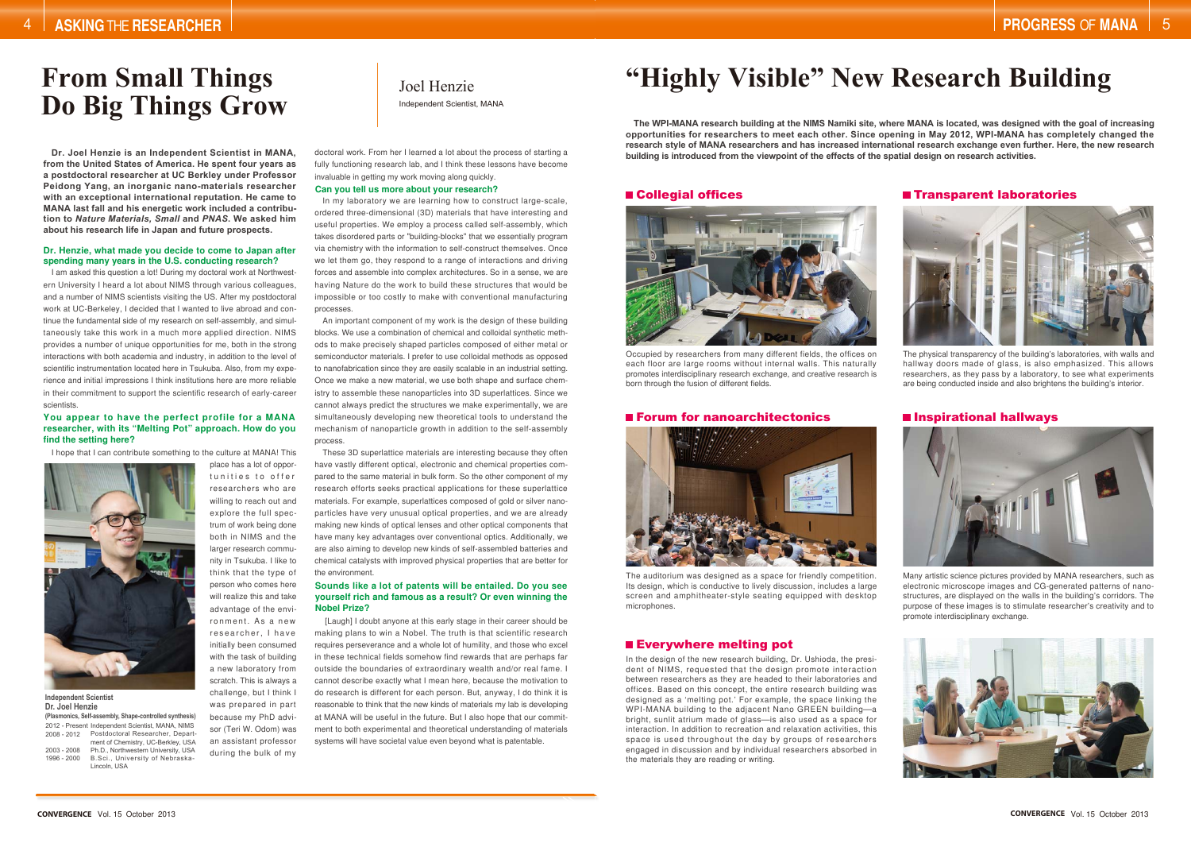# **From Small Things Do Big Things Grow** Independent Scientist, MANA

Joel Henzie

#### **Dr. Henzie, what made you decide to come to Japan after spending many years in the U.S. conducting research?**

#### **Sounds like a lot of patents will be entailed. Do you see yourself rich and famous as a result? Or even winning the Nobel Prize?**

#### **You appear to have the perfect profile for a MANA researcher, with its "Melting Pot" approach. How do you find the setting here?**

#### **Can you tell us more about your research?**

I am asked this question a lot! During my doctoral work at Northwestern University I heard a lot about NIMS through various colleagues, and a number of NIMS scientists visiting the US. After my postdoctoral work at UC-Berkeley, I decided that I wanted to live abroad and continue the fundamental side of my research on self-assembly, and simultaneously take this work in a much more applied direction. NIMS provides a number of unique opportunities for me, both in the strong interactions with both academia and industry, in addition to the level of scientific instrumentation located here in Tsukuba. Also, from my experience and initial impressions I think institutions here are more reliable in their commitment to support the scientific research of early-career scientists.

I hope that I can contribute something to the culture at MANA! This

place has a lot of opportunities to offer researchers who are willing to reach out and explore the full spectrum of work being done both in NIMS and the larger research community in Tsukuba. I like to think that the type of person who comes here will realize this and take advantage of the environment. As a new researcher, I have initially been consumed with the task of building a new laboratory from scratch. This is always a challenge, but I think I was prepared in part because my PhD advisor (Teri W. Odom) was an assistant professor

during the bulk of my

doctoral work. From her I learned a lot about the process of starting a fully functioning research lab, and I think these lessons have become invaluable in getting my work moving along quickly.

[Laugh] I doubt anyone at this early stage in their career should be making plans to win a Nobel. The truth is that scientific research requires perseverance and a whole lot of humility, and those who excel in these technical fields somehow find rewards that are perhaps far outside the boundaries of extraordinary wealth and/or real fame. I cannot describe exactly what I mean here, because the motivation to do research is different for each person. But, anyway, I do think it is reasonable to think that the new kinds of materials my lab is developing at MANA will be useful in the future. But I also hope that our commitment to both experimental and theoretical understanding of materials systems will have societal value even beyond what is patentable.

| (Plasmonics, Self-assembly, Shape-controlled synthesis) |                                                  |
|---------------------------------------------------------|--------------------------------------------------|
|                                                         | 2012 - Present Independent Scientist, MANA, NIMS |
| 2008 - 2012                                             | Postdoctoral Researcher, Depart-                 |
|                                                         | ment of Chemistry, UC-Berkley, USA               |
| $2003 - 2008$                                           | Ph.D., Northwestern University, USA              |
| 1996 - 2000                                             | B.Sci., University of Nebraska-                  |
|                                                         | Lincoln, USA                                     |

In my laboratory we are learning how to construct large-scale, ordered three-dimensional (3D) materials that have interesting and useful properties. We employ a process called self-assembly, which takes disordered parts or "building-blocks" that we essentially program via chemistry with the information to self-construct themselves. Once we let them go, they respond to a range of interactions and driving forces and assemble into complex architectures. So in a sense, we are having Nature do the work to build these structures that would be impossible or too costly to make with conventional manufacturing processes.

An important component of my work is the design of these building blocks. We use a combination of chemical and colloidal synthetic methods to make precisely shaped particles composed of either metal or semiconductor materials. I prefer to use colloidal methods as opposed to nanofabrication since they are easily scalable in an industrial setting. Once we make a new material, we use both shape and surface chemistry to assemble these nanoparticles into 3D superlattices. Since we cannot always predict the structures we make experimentally, we are simultaneously developing new theoretical tools to understand the mechanism of nanoparticle growth in addition to the self-assembly process.

These 3D superlattice materials are interesting because they often have vastly different optical, electronic and chemical properties compared to the same material in bulk form. So the other component of my research efforts seeks practical applications for these superlattice materials. For example, superlattices composed of gold or silver nanoparticles have very unusual optical properties, and we are already making new kinds of optical lenses and other optical components that have many key advantages over conventional optics. Additionally, we are also aiming to develop new kinds of self-assembled batteries and chemical catalysts with improved physical properties that are better for the environment.



**Independent Scientist Dr. Joel Henzie**

**Dr. Joel Henzie is an Independent Scientist in MANA, from the United States of America. He spent four years as a postdoctoral researcher at UC Berkley under Professor Peidong Yang, an inorganic nano-materials researcher with an exceptional international reputation. He came to MANA last fall and his energetic work included a contribution to** *Nature Materials, Small* **and** *PNAS***. We asked him about his research life in Japan and future prospects.**

## ■ Collegial offices Transparent laboratories



**The WPI-MANA research building at the NIMS Namiki site, where MANA is located, was designed with the goal of increasing opportunities for researchers to meet each other. Since opening in May 2012, WPI-MANA has completely changed the research style of MANA researchers and has increased international research exchange even further. Here, the new research building is introduced from the viewpoint of the effects of the spatial design on research activities.**



Occupied by researchers from many different fields, the offices on each floor are large rooms without internal walls. This naturally promotes interdisciplinary research exchange, and creative research is born through the fusion of different fields.

### **E** Forum for nanoarchitectonics

The physical transparency of the building's laboratories, with walls and hallway doors made of glass, is also emphasized. This allows researchers, as they pass by a laboratory, to see what experiments are being conducted inside and also brightens the building's interior.

## $\blacksquare$  Inspirational hallways





The auditorium was designed as a space for friendly competition. Its design, which is conductive to lively discussion, includes a large screen and amphitheater-style seating equipped with desktop microphones.

## **Exerywhere melting pot**

In the design of the new research building, Dr. Ushioda, the president of NIMS, requested that the design promote interaction between researchers as they are headed to their laboratories and offices. Based on this concept, the entire research building was designed as a 'melting pot.' For example, the space linking the WPI-MANA building to the adjacent Nano GREEN building—a bright, sunlit atrium made of glass—is also used as a space for interaction. In addition to recreation and relaxation activities, this space is used throughout the day by groups of researchers engaged in discussion and by individual researchers absorbed in the materials they are reading or writing.

Many artistic science pictures provided by MANA researchers, such as electronic microscope images and CG-generated patterns of nanostructures, are displayed on the walls in the building's corridors. The purpose of these images is to stimulate researcher's creativity and to promote interdisciplinary exchange.



# **"Highly Visible" New Research Building**